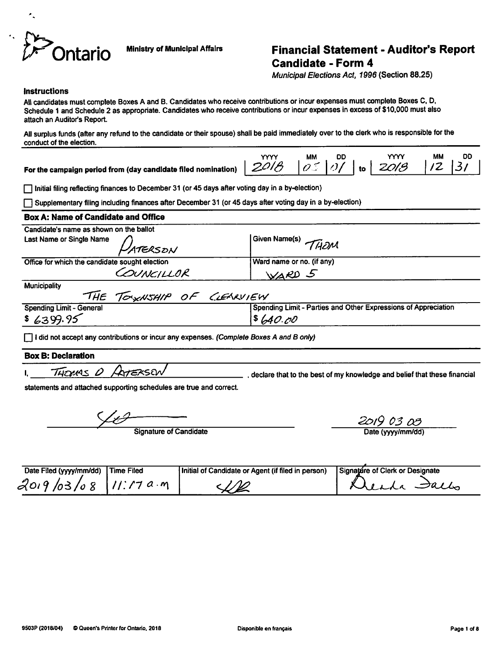

# *if Ontario* Ministry of Municipal Affairs *Financial Statement - Auditor's Report Candidate - Form 4*

**Municipal Elections Act, 1996** (Section 88.25)

#### **Instructions**

All candidates must complete Boxes A and B. Candidates who receive contributions or incur expenses must complete Boxes C. D. Schedule 1 and Schedule 2 as appropriate. Candidates who receive contributions or incur expenses in excess of \$10,000 must also attach an Auditor's Report

All surplus funds (after any refund to the candidate or their spouse) shall be paid immediately over to the clerk who is responsible for the conduct of the election.

For the campaign period from (day candidate filed nomination)

|        | <b>MM</b> | םכ           |    |      | МM | DU   |
|--------|-----------|--------------|----|------|----|------|
| יי<br> | م.        | $\iota\iota$ | to | 2013 |    | l 37 |

• Initial filing reflecting finances to December 31 (or45 daysafter voting day in a by-election)

• Supplementary filing including finances after December 31 (or 45daysafter voting dayina by-election)

## **Box A: Name of Candidate and Office** Candidate's name as shown on the ballot Last Name or Single Name *DATERSDN* SUBJECT SINGLET THOM Office for which the candidate sought election Ward name or no. (if any) COUNCILLOR WARD 5 **Municipality ~TH£ 7c\*\*A/Sf//P Of &£\*AV/£W** Spending Limit - Parties and Other Expressions of Appreciation  $$640.00$  $$6399.95$

Q Idid not acceptanycontributions orincur anyexpenses. **(Complete Boxes Aand Bonly)**

#### *Box B: Declaration*

i. **'TZjguAs 0 /krexszw** , declare that to the best of my knowledge and belief that these financial

statements and attached supporting schedules are true and correct.

**Signature of Candidate** Signature of Candidate Date (yyyy/mm/dd)

| Date Filed (yyyy/mm/dd) | Time Filed | Initial of Candidate or Agent (if filed in person) | Signature of Clerk or Designate |
|-------------------------|------------|----------------------------------------------------|---------------------------------|
| $2019/03/08$ $11:17a·m$ |            |                                                    | ila Jallo                       |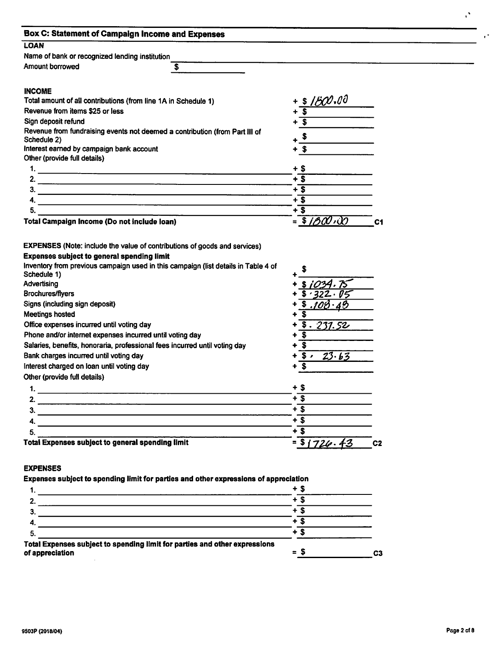| <b>Box C: Statement of Campaign Income and Expenses</b>                                                                       |                             |                |
|-------------------------------------------------------------------------------------------------------------------------------|-----------------------------|----------------|
| <b>LOAN</b>                                                                                                                   |                             |                |
| Name of bank or recognized lending institution                                                                                |                             |                |
| <b>Amount borrowed</b><br>\$                                                                                                  |                             |                |
|                                                                                                                               |                             |                |
| <b>INCOME</b><br>Total amount of all contributions (from line 1A in Schedule 1)                                               | \$160.00                    |                |
| Revenue from items \$25 or less                                                                                               | $\overline{\boldsymbol{s}}$ |                |
| Sign deposit refund                                                                                                           | $\overline{\mathbf{s}}$     |                |
| Revenue from fundraising events not deemed a contribution (from Part III of                                                   |                             |                |
| Schedule 2)                                                                                                                   | \$                          |                |
| Interest earned by campaign bank account                                                                                      | $+$ \$                      |                |
| Other (provide full details)                                                                                                  |                             |                |
|                                                                                                                               | + \$                        |                |
| 2.<br><u> 1988 - Jan Barbara de San Barbara de San Barbara de San Barbara de San Barbara de San Barbara de San Barbara</u>    | $+3$                        |                |
| 3.<br><u> 1980 - Andrej Standard Brazilia, Amerikaansk politik (* 1980)</u><br>1900 - Andrej Standard, frysk politik (* 1900) | $+$ \$                      |                |
| 4.                                                                                                                            | $+$ \$                      |                |
| 5.                                                                                                                            | $+\overline{\$}$            |                |
| Total Campaign Income (Do not include loan)                                                                                   | $= $180.00$                 | C <sub>1</sub> |
|                                                                                                                               |                             |                |
| <b>EXPENSES</b> (Note: include the value of contributions of goods and services)                                              |                             |                |
| <b>Expenses subject to general spending limit</b>                                                                             |                             |                |
| Inventory from previous campaign used in this campaign (list details in Table 4 of                                            |                             |                |
| Schedule 1)                                                                                                                   |                             |                |
| Advertising                                                                                                                   | \$1034.75                   |                |
| <b>Brochures/flyers</b>                                                                                                       | \$.322.05                   |                |
| Signs (including sign deposit)                                                                                                | \$.108.49                   |                |
| Meetings hosted                                                                                                               | \$                          |                |
| Office expenses incurred until voting day                                                                                     | $\sqrt{3}$ . 231.52         |                |
| Phone and/or internet expenses incurred until voting day                                                                      | \$                          |                |
| Salaries, benefits, honoraria, professional fees incurred until voting day                                                    | $\overline{\mathbf{3}}$     |                |
| Bank charges incurred until voting day                                                                                        | 5.23.63                     |                |
| Interest charged on loan until voting day                                                                                     | $\mathbf{s}$<br>÷           |                |
| Other (provide full details)                                                                                                  |                             |                |
| 1.                                                                                                                            | $+$ \$                      |                |
| 2.<br><u> 1980 - An Aonaichte ann an Cathracha ann an Cathracha ann an C</u>                                                  | $+$ \$                      |                |
| 3.                                                                                                                            | $+$ \$                      |                |
| 4.                                                                                                                            | $+$ s                       |                |
| 5.                                                                                                                            | $+$ \$                      |                |
| Total Expenses subject to general spending limit                                                                              | $=$ \$1726.43               | C <sub>2</sub> |
|                                                                                                                               |                             |                |
|                                                                                                                               |                             |                |
| <b>EXPENSES</b>                                                                                                               |                             |                |
| Expenses subject to spending limit for parties and other expressions of appreciation                                          |                             |                |
| 1.<br><u> 1980 - Andrea Andrew Maria (h. 1980).</u>                                                                           | $+$ \$                      |                |
| 2. $\qquad \qquad$                                                                                                            | $+5$                        |                |
| 3.                                                                                                                            | $+$ s                       |                |
| 4.                                                                                                                            | $+\overline{\$}$            |                |
| 5.                                                                                                                            | $+$ \$                      |                |

Total Expenses subject to spending limit for parties and other expressions of appreciation  $=$   $\frac{1}{3}$   $\frac{1}{3}$   $\frac{1}{3}$   $\frac{1}{3}$   $\frac{1}{3}$   $\frac{1}{3}$   $\frac{1}{3}$   $\frac{1}{3}$   $\frac{1}{3}$   $\frac{1}{3}$   $\frac{1}{3}$   $\frac{1}{3}$   $\frac{1}{3}$   $\frac{1}{3}$   $\frac{1}{3}$   $\frac{1}{3}$   $\frac{1}{3}$   $\frac{1}{3}$   $\frac{1}{3}$   $\frac{1}{3}$   $\mathcal{O}^{\mathcal{O}}$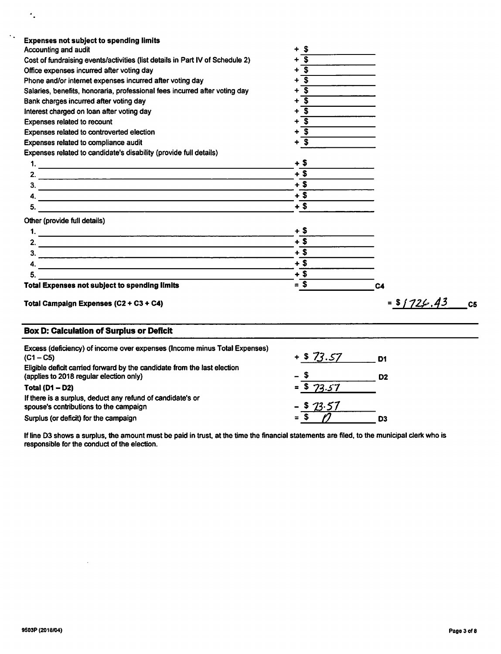| <b>Expenses not subject to spending limits</b><br>Accounting and audit                                                                                                                                                                                                                                                                                                                                           | - \$<br>+                                       |                                |
|------------------------------------------------------------------------------------------------------------------------------------------------------------------------------------------------------------------------------------------------------------------------------------------------------------------------------------------------------------------------------------------------------------------|-------------------------------------------------|--------------------------------|
| Cost of fundraising events/activities (list details in Part IV of Schedule 2)                                                                                                                                                                                                                                                                                                                                    | $\overline{\mathbf{s}}$                         |                                |
| Office expenses incurred after voting day                                                                                                                                                                                                                                                                                                                                                                        | $+\overline{\mathbf{S}}$                        |                                |
| Phone and/or internet expenses incurred after voting day                                                                                                                                                                                                                                                                                                                                                         | $\overline{\mathbf{s}}$<br>$\ddot{\phantom{1}}$ |                                |
| Salaries, benefits, honoraria, professional fees incurred after voting day                                                                                                                                                                                                                                                                                                                                       | $+$ s                                           |                                |
|                                                                                                                                                                                                                                                                                                                                                                                                                  | $+\overline{\$}$                                |                                |
| Bank charges incurred after voting day                                                                                                                                                                                                                                                                                                                                                                           | $+\overline{\mathsf{s}}$                        |                                |
| Interest charged on loan after voting day                                                                                                                                                                                                                                                                                                                                                                        | $+$ s                                           |                                |
| Expenses related to recount                                                                                                                                                                                                                                                                                                                                                                                      |                                                 |                                |
| Expenses related to controverted election                                                                                                                                                                                                                                                                                                                                                                        | $+$ s                                           |                                |
| Expenses related to compliance audit                                                                                                                                                                                                                                                                                                                                                                             | $+$ $\overline{\$}$                             |                                |
| Expenses related to candidate's disability (provide full details)                                                                                                                                                                                                                                                                                                                                                |                                                 |                                |
|                                                                                                                                                                                                                                                                                                                                                                                                                  | + \$                                            |                                |
|                                                                                                                                                                                                                                                                                                                                                                                                                  | $+3$                                            |                                |
| $\frac{1}{2}$                                                                                                                                                                                                                                                                                                                                                                                                    | $+3$                                            |                                |
|                                                                                                                                                                                                                                                                                                                                                                                                                  | $+$ \$                                          |                                |
|                                                                                                                                                                                                                                                                                                                                                                                                                  | $+$ \$                                          |                                |
| Other (provide full details)                                                                                                                                                                                                                                                                                                                                                                                     |                                                 |                                |
|                                                                                                                                                                                                                                                                                                                                                                                                                  | + \$                                            |                                |
| 2. $\frac{1}{\sqrt{1-\frac{1}{2}}\sqrt{1-\frac{1}{2}}\sqrt{1-\frac{1}{2}}\sqrt{1-\frac{1}{2}}\sqrt{1-\frac{1}{2}}\sqrt{1-\frac{1}{2}}\sqrt{1-\frac{1}{2}}\sqrt{1-\frac{1}{2}}\sqrt{1-\frac{1}{2}}\sqrt{1-\frac{1}{2}}\sqrt{1-\frac{1}{2}}\sqrt{1-\frac{1}{2}}\sqrt{1-\frac{1}{2}}\sqrt{1-\frac{1}{2}}\sqrt{1-\frac{1}{2}}\sqrt{1-\frac{1}{2}}\sqrt{1-\frac{1}{2}}\sqrt{1-\frac{1}{2}}\sqrt{1-\frac{1}{2}}\sqrt{$ | $+5$                                            |                                |
|                                                                                                                                                                                                                                                                                                                                                                                                                  | $+\overline{\$}$                                |                                |
| 4. $\overline{\phantom{a}}$                                                                                                                                                                                                                                                                                                                                                                                      | $+$ \$                                          |                                |
| 5.                                                                                                                                                                                                                                                                                                                                                                                                               | $+$ \$                                          |                                |
| Total Expenses not subject to spending limits                                                                                                                                                                                                                                                                                                                                                                    | $=$ \$                                          | C <sub>4</sub>                 |
| Total Campaign Expenses (C2 + C3 + C4)                                                                                                                                                                                                                                                                                                                                                                           |                                                 | $= 5/725.43$<br>C <sub>5</sub> |
| <b>Box D: Calculation of Surplus or Deficit</b>                                                                                                                                                                                                                                                                                                                                                                  |                                                 |                                |
| Excess (deficiency) of income over expenses (Income minus Total Expenses)                                                                                                                                                                                                                                                                                                                                        |                                                 |                                |
| $(C1 - C5)$                                                                                                                                                                                                                                                                                                                                                                                                      | $+$ \$ 73.57 D1                                 |                                |
| Eligible deficit carried forward by the candidate from the last election<br>(applies to 2018 regular election only)                                                                                                                                                                                                                                                                                              | $-$ \$                                          | D <sub>2</sub>                 |
| Total $(D1 - D2)$                                                                                                                                                                                                                                                                                                                                                                                                | $=$ \$ 73.57                                    |                                |
| If there is a surplus, deduct any refund of candidate's or<br>spouse's contributions to the campaign                                                                                                                                                                                                                                                                                                             | \$23.57                                         |                                |
| Surplus (or deficit) for the campaign                                                                                                                                                                                                                                                                                                                                                                            | $=\overline{\$}$                                | D <sub>3</sub>                 |

Ifline D3 shows a surplus, the amount must be paid in trust, at the time the financial statements are filed, to the municipal clerk who is responsible for the conduct of the election.

 $\bar{z}$ 

 $\mathcal{F}_{\bullet}$ 

 $\ddot{\mathcal{A}}$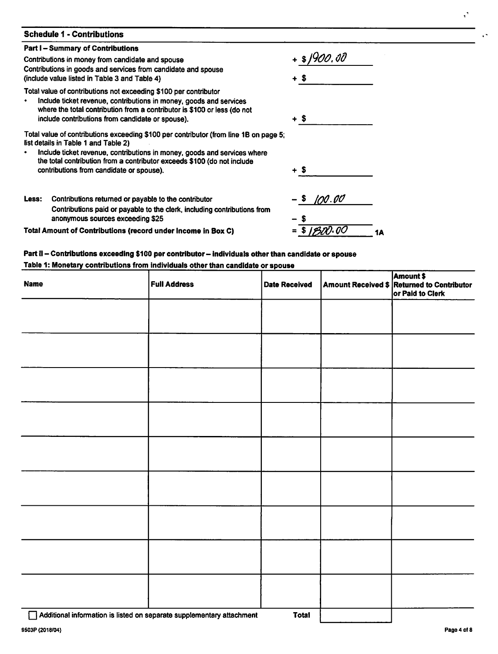# *Schedule 1 - Contributions*

# *Part I- Summary of Contributions*

Contributions in money from candidate and spouse Contributions in goods and services from candidate and spouse (include value listed in Table 3 and Table 4)

Total value of contributions not exceeding \$100 per contributor

Include ticket revenue, contributions in money, goods and services  $\bullet$ where the total contribution from a contributor is \$100 or less (do not include contributions from candidate or spouse).

Total value of contributions exceeding \$100 per contributor (from line 1B on page 5 list details in Table 1 and Table 2)

Include ticket revenue, contributions in money, goods and services where  $\bullet$ the total contribution from a contributor exceeds \$100 (do not include contributions from candidate or spouse).

| Less: | Contributions returned or payable to the contributor                     |
|-------|--------------------------------------------------------------------------|
|       | Contributions paid or payable to the clerk, including contributions from |
|       | anonymous sources exceeding \$25                                         |

*Total Amount of Contributions (record under Income in Box C)*

| 5. |                    |  |
|----|--------------------|--|
|    | + \$               |  |
|    | $-$ \$ 100.00      |  |
|    | - \$               |  |
|    | $=\sqrt{31800.00}$ |  |

**%flOO,CO**

*+ \$*

*+ \$*

# *Part il- Contributions exceeding \$100 per contributor- individuals otherthan candidate or spouse*

# *Table 1: Monetary contributions from individuals otherthan candidate or spouse*

| <b>Name</b> | <b>Full Address</b> | Date Received | <b>Amount \$</b><br>Amount Received \$ Returned to Contributor<br>or Paid to Clerk |
|-------------|---------------------|---------------|------------------------------------------------------------------------------------|
|             |                     |               |                                                                                    |
|             |                     |               |                                                                                    |
|             |                     |               |                                                                                    |
|             |                     |               |                                                                                    |
|             |                     |               |                                                                                    |
|             |                     |               |                                                                                    |
|             |                     |               |                                                                                    |
|             |                     |               |                                                                                    |
|             |                     |               |                                                                                    |

*9503P (2018/04) Paga4of8*

 $\ddot{\phantom{0}}$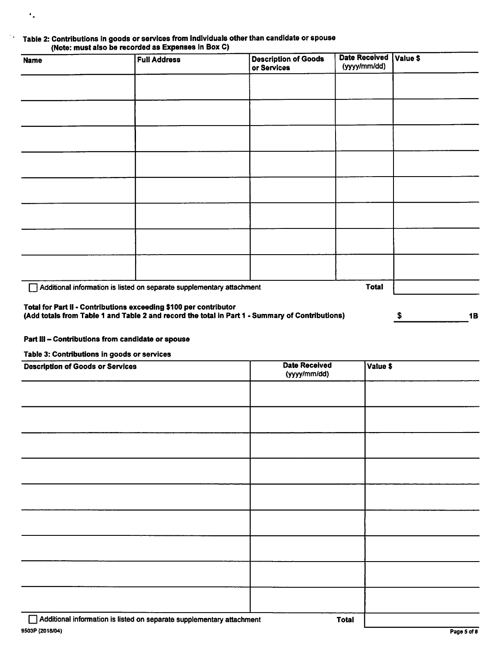| Table 2: Contributions in goods or services from individuals other than candidate or spouse |
|---------------------------------------------------------------------------------------------|
| (Note: must also be recorded as Expenses in Box C)                                          |

| <b>Name</b> | <b>Full Address</b>                                                   | <b>Description of Goods</b><br>or Services                                                      | Date Received   Value \$<br>(yyyy/mm/dd) |         |
|-------------|-----------------------------------------------------------------------|-------------------------------------------------------------------------------------------------|------------------------------------------|---------|
|             |                                                                       |                                                                                                 |                                          |         |
|             |                                                                       |                                                                                                 |                                          |         |
|             |                                                                       |                                                                                                 |                                          |         |
|             |                                                                       |                                                                                                 |                                          |         |
|             |                                                                       |                                                                                                 |                                          |         |
|             |                                                                       |                                                                                                 |                                          |         |
|             |                                                                       |                                                                                                 |                                          |         |
|             |                                                                       |                                                                                                 |                                          |         |
|             | Additional information is listed on separate supplementary attachment |                                                                                                 | <b>Total</b>                             |         |
|             | Total for Part II - Contributions exceeding \$100 per contributor     | (Add totals from Table 1 and Table 2 and record the total in Part 1 - Summary of Contributions) |                                          | 1B<br>s |

### *Part III- Contributions from candidate or spouse*

*Table 3: Contributions in goods or services*

 $\ddot{\phantom{a}}$  .

 $\mathbb{R}^2$  .

| <b>Description of Goods or Services</b>                               | <b>Date Received</b><br>(yyyy/mm/dd) | Value \$ |
|-----------------------------------------------------------------------|--------------------------------------|----------|
|                                                                       |                                      |          |
|                                                                       |                                      |          |
|                                                                       |                                      |          |
|                                                                       |                                      |          |
|                                                                       |                                      |          |
|                                                                       |                                      |          |
|                                                                       |                                      |          |
|                                                                       |                                      |          |
|                                                                       |                                      |          |
| Additional information is listed on separate supplementary attachment | <b>Total</b>                         |          |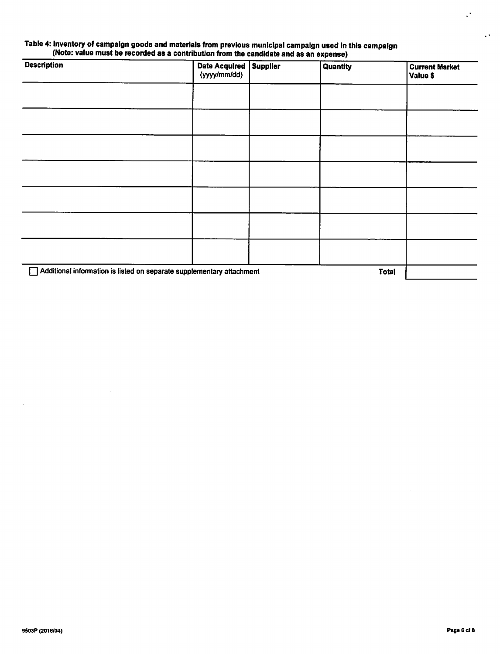### *Table 4: Inventory of campaign goods and materials from previous municipal campaign used inthis campaign (Note: value must be recordedas a contribution from the candidate and as an expense)*

| <b>Description</b>                                                    | Date Acquired   Supplier<br>(yyyy/mm/dd) | <b>Quantity</b> | <b>Current Market</b><br>Value \$ |
|-----------------------------------------------------------------------|------------------------------------------|-----------------|-----------------------------------|
|                                                                       |                                          |                 |                                   |
|                                                                       |                                          |                 |                                   |
|                                                                       |                                          |                 |                                   |
|                                                                       |                                          |                 |                                   |
|                                                                       |                                          |                 |                                   |
|                                                                       |                                          |                 |                                   |
|                                                                       |                                          |                 |                                   |
| Additional information is listed on separate supplementary attachment |                                          | <b>Total</b>    |                                   |

 $\ddot{\phantom{0}}$ 

 $\ddot{\phantom{a}}$  .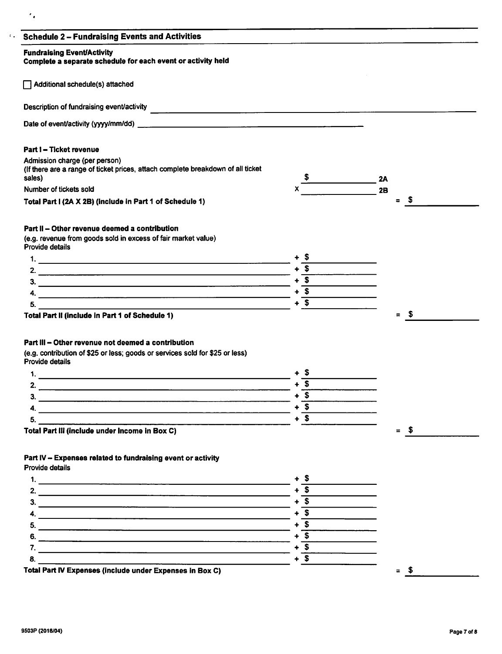| <b>Schedule 2 - Fundraising Events and Activities</b>                                                  |        |                        |
|--------------------------------------------------------------------------------------------------------|--------|------------------------|
| <b>Fundraising Event/Activity</b><br>Complete a separate schedule for each event or activity held      |        |                        |
| Additional schedule(s) attached                                                                        |        |                        |
|                                                                                                        |        |                        |
|                                                                                                        |        |                        |
| Part I - Ticket revenue                                                                                |        |                        |
| Admission charge (per person)                                                                          |        |                        |
| (If there are a range of ticket prices, attach complete breakdown of all ticket<br>sales)              |        | <b>2A</b>              |
| Number of tickets sold                                                                                 |        | 2B                     |
| Total Part I (2A X 2B) (include in Part 1 of Schedule 1)                                               |        | - \$<br>$\blacksquare$ |
| Part II - Other revenue deemed a contribution                                                          |        |                        |
| (e.g. revenue from goods sold in excess of fair market value)<br>Provide details                       |        |                        |
|                                                                                                        | + 5    |                        |
|                                                                                                        | $+$ \$ |                        |
|                                                                                                        | $+$ \$ |                        |
|                                                                                                        | $+$ \$ |                        |
| 5.                                                                                                     | $+$ \$ |                        |
| Total Part II (include in Part 1 of Schedule 1)                                                        |        | - \$<br>$\equiv$       |
|                                                                                                        |        |                        |
|                                                                                                        |        |                        |
| Part III - Other revenue not deemed a contribution                                                     |        |                        |
| (e.g. contribution of \$25 or less; goods or services sold for \$25 or less)<br><b>Provide details</b> |        |                        |
|                                                                                                        | + \$   |                        |
|                                                                                                        | $+$ \$ |                        |
|                                                                                                        | $+$ \$ |                        |
| 3.                                                                                                     | $+$ \$ |                        |
|                                                                                                        | $+$ \$ |                        |
| 5.                                                                                                     |        |                        |
| Total Part III (include under Income in Box C)                                                         |        | $=$ \$                 |
| Part IV - Expenses related to fundraising event or activity                                            |        |                        |
| Provide details                                                                                        |        |                        |
|                                                                                                        | + \$   |                        |
|                                                                                                        | $+$ \$ |                        |
| 3.                                                                                                     | $+$ \$ |                        |
| 4. $\overline{\phantom{a}}$                                                                            | $+$ \$ |                        |
|                                                                                                        | $+$ \$ |                        |
|                                                                                                        | $+$ \$ |                        |
| 7. $\overline{\phantom{a}}$                                                                            | $+$ \$ |                        |
| 8.<br><u> 1989 - Johann Barnett, fransk komponent (f. 1989)</u>                                        | $+$ \$ |                        |
| Total Part IV Expenses (include under Expenses in Box C)                                               |        | $=$ \$                 |
|                                                                                                        |        |                        |

 $\epsilon_{\rm{in}}$ 

 $\tilde{\mathcal{L}}_{\bullet}$